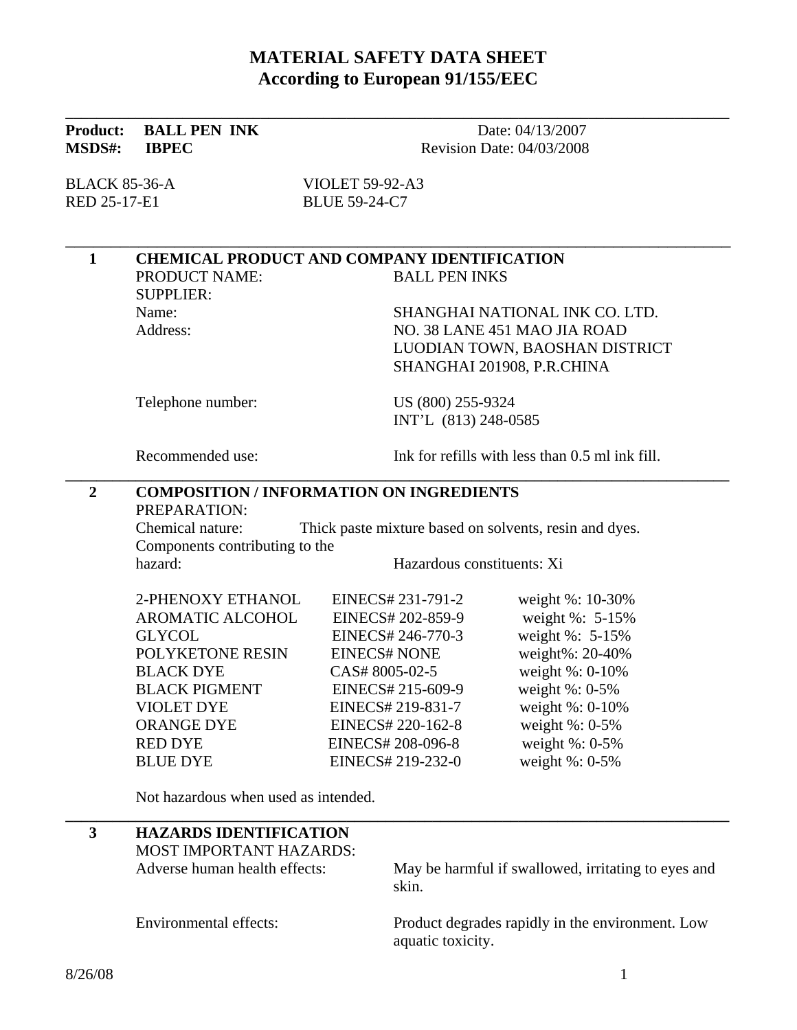### **MATERIAL SAFETY DATA SHEET According to European 91/155/EEC**

| <b>Product:</b><br><b>MSDS#:</b> | <b>BALL PEN INK</b><br><b>IBPEC</b>                                        | Date: 04/13/2007<br>Revision Date: 04/03/2008 |                                                     |  |  |
|----------------------------------|----------------------------------------------------------------------------|-----------------------------------------------|-----------------------------------------------------|--|--|
| <b>BLACK 85-36-A</b>             |                                                                            | <b>VIOLET 59-92-A3</b>                        |                                                     |  |  |
| RED 25-17-E1                     |                                                                            | <b>BLUE 59-24-C7</b>                          |                                                     |  |  |
| $\mathbf{1}$                     | <b>CHEMICAL PRODUCT AND COMPANY IDENTIFICATION</b>                         |                                               |                                                     |  |  |
|                                  | PRODUCT NAME:<br><b>SUPPLIER:</b>                                          | <b>BALL PEN INKS</b>                          |                                                     |  |  |
|                                  | Name:                                                                      |                                               | SHANGHAI NATIONAL INK CO. LTD.                      |  |  |
|                                  | Address:                                                                   |                                               | NO. 38 LANE 451 MAO JIA ROAD                        |  |  |
|                                  |                                                                            |                                               | LUODIAN TOWN, BAOSHAN DISTRICT                      |  |  |
|                                  |                                                                            |                                               | SHANGHAI 201908, P.R.CHINA                          |  |  |
|                                  | Telephone number:                                                          | US (800) 255-9324                             |                                                     |  |  |
|                                  |                                                                            | INT'L (813) 248-0585                          |                                                     |  |  |
|                                  | Recommended use:                                                           |                                               | Ink for refills with less than 0.5 ml ink fill.     |  |  |
| $\boldsymbol{2}$                 | <b>COMPOSITION / INFORMATION ON INGREDIENTS</b><br>PREPARATION:            |                                               |                                                     |  |  |
|                                  | Chemical nature:<br>Thick paste mixture based on solvents, resin and dyes. |                                               |                                                     |  |  |
|                                  | Components contributing to the                                             |                                               |                                                     |  |  |
|                                  | hazard:                                                                    | Hazardous constituents: Xi                    |                                                     |  |  |
|                                  | 2-PHENOXY ETHANOL                                                          | EINECS# 231-791-2                             | weight %: 10-30%                                    |  |  |
|                                  | AROMATIC ALCOHOL                                                           | EINECS# 202-859-9                             | weight %: 5-15%                                     |  |  |
|                                  | <b>GLYCOL</b>                                                              | EINECS# 246-770-3                             | weight %: 5-15%                                     |  |  |
|                                  | POLYKETONE RESIN                                                           | <b>EINECS# NONE</b>                           | weight%: 20-40%                                     |  |  |
|                                  | <b>BLACK DYE</b>                                                           | CAS#8005-02-5                                 | weight %: 0-10%                                     |  |  |
|                                  | <b>BLACK PIGMENT</b>                                                       | EINECS# 215-609-9                             | weight $\%$ : 0-5%                                  |  |  |
|                                  | <b>VIOLET DYE</b>                                                          | EINECS# 219-831-7                             | weight %: 0-10%                                     |  |  |
|                                  | ORANGE DYE                                                                 | EINECS# 220-162-8                             | weight $\%$ : 0-5 $\%$                              |  |  |
|                                  | <b>RED DYE</b>                                                             | EINECS# 208-096-8                             | weight $\%$ : 0-5%                                  |  |  |
|                                  | <b>BLUE DYE</b>                                                            | EINECS# 219-232-0                             | weight $\%$ : 0-5%                                  |  |  |
|                                  | Not hazardous when used as intended.                                       |                                               |                                                     |  |  |
| 3                                | <b>HAZARDS IDENTIFICATION</b>                                              |                                               |                                                     |  |  |
|                                  | <b>MOST IMPORTANT HAZARDS:</b>                                             |                                               |                                                     |  |  |
|                                  | Adverse human health effects:                                              | skin.                                         | May be harmful if swallowed, irritating to eyes and |  |  |

Environmental effects: Product degrades rapidly in the environment. Low aquatic toxicity.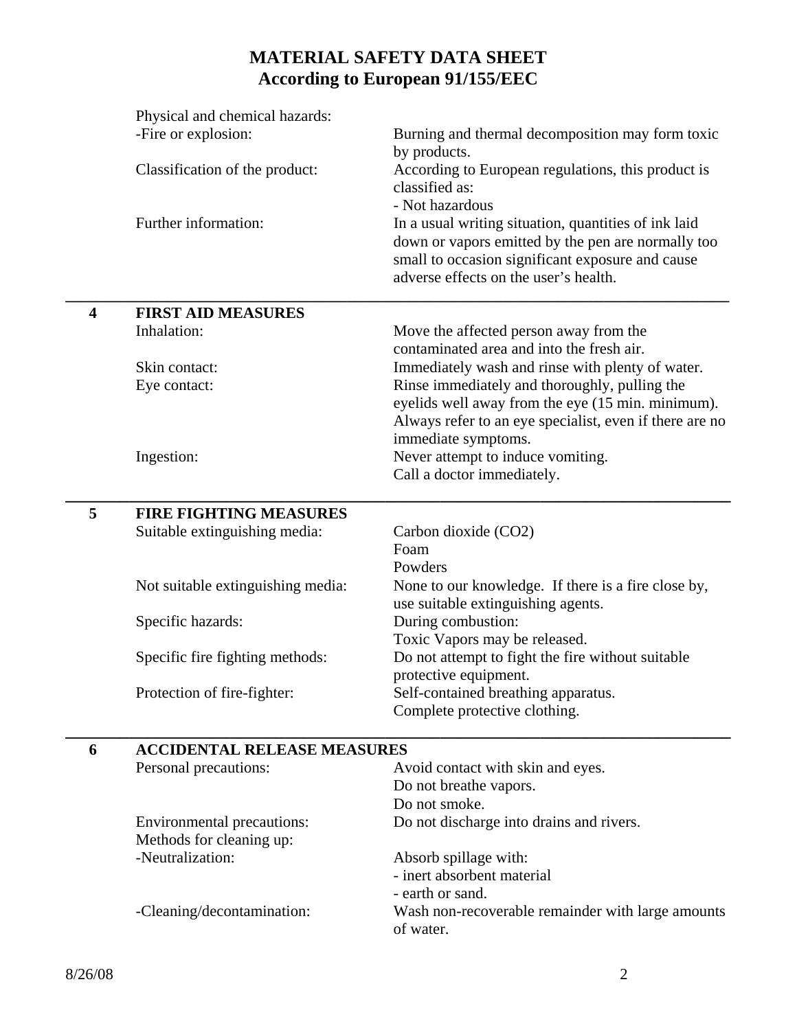# **MATERIAL SAFETY DATA SHEET According to European 91/155/EEC**

|                         | Physical and chemical hazards:     |                                                         |
|-------------------------|------------------------------------|---------------------------------------------------------|
|                         | -Fire or explosion:                | Burning and thermal decomposition may form toxic        |
|                         |                                    | by products.                                            |
|                         | Classification of the product:     | According to European regulations, this product is      |
|                         |                                    | classified as:                                          |
|                         |                                    | - Not hazardous                                         |
|                         | Further information:               | In a usual writing situation, quantities of ink laid    |
|                         |                                    | down or vapors emitted by the pen are normally too      |
|                         |                                    | small to occasion significant exposure and cause        |
|                         |                                    | adverse effects on the user's health.                   |
| $\overline{\mathbf{4}}$ | <b>FIRST AID MEASURES</b>          |                                                         |
|                         | Inhalation:                        | Move the affected person away from the                  |
|                         |                                    | contaminated area and into the fresh air.               |
|                         | Skin contact:                      | Immediately wash and rinse with plenty of water.        |
|                         | Eye contact:                       | Rinse immediately and thoroughly, pulling the           |
|                         |                                    | eyelids well away from the eye (15 min. minimum).       |
|                         |                                    | Always refer to an eye specialist, even if there are no |
|                         |                                    | immediate symptoms.                                     |
|                         | Ingestion:                         | Never attempt to induce vomiting.                       |
|                         |                                    | Call a doctor immediately.                              |
| 5                       | <b>FIRE FIGHTING MEASURES</b>      |                                                         |
|                         | Suitable extinguishing media:      | Carbon dioxide (CO2)                                    |
|                         |                                    | Foam                                                    |
|                         |                                    | Powders                                                 |
|                         | Not suitable extinguishing media:  | None to our knowledge. If there is a fire close by,     |
|                         |                                    | use suitable extinguishing agents.                      |
|                         | Specific hazards:                  | During combustion:                                      |
|                         |                                    | Toxic Vapors may be released.                           |
|                         | Specific fire fighting methods:    | Do not attempt to fight the fire without suitable       |
|                         |                                    | protective equipment.                                   |
|                         | Protection of fire-fighter:        | Self-contained breathing apparatus.                     |
|                         |                                    | Complete protective clothing.                           |
| 6                       | <b>ACCIDENTAL RELEASE MEASURES</b> |                                                         |
|                         | Personal precautions:              | Avoid contact with skin and eyes.                       |
|                         |                                    | Do not breathe vapors.                                  |
|                         |                                    | Do not smoke.                                           |
|                         | Environmental precautions:         | Do not discharge into drains and rivers.                |
|                         | Methods for cleaning up:           |                                                         |
|                         | -Neutralization:                   | Absorb spillage with:                                   |
|                         |                                    | - inert absorbent material                              |
|                         |                                    | - earth or sand.                                        |
|                         | -Cleaning/decontamination:         | Wash non-recoverable remainder with large amounts       |
|                         |                                    | of water.                                               |
|                         |                                    |                                                         |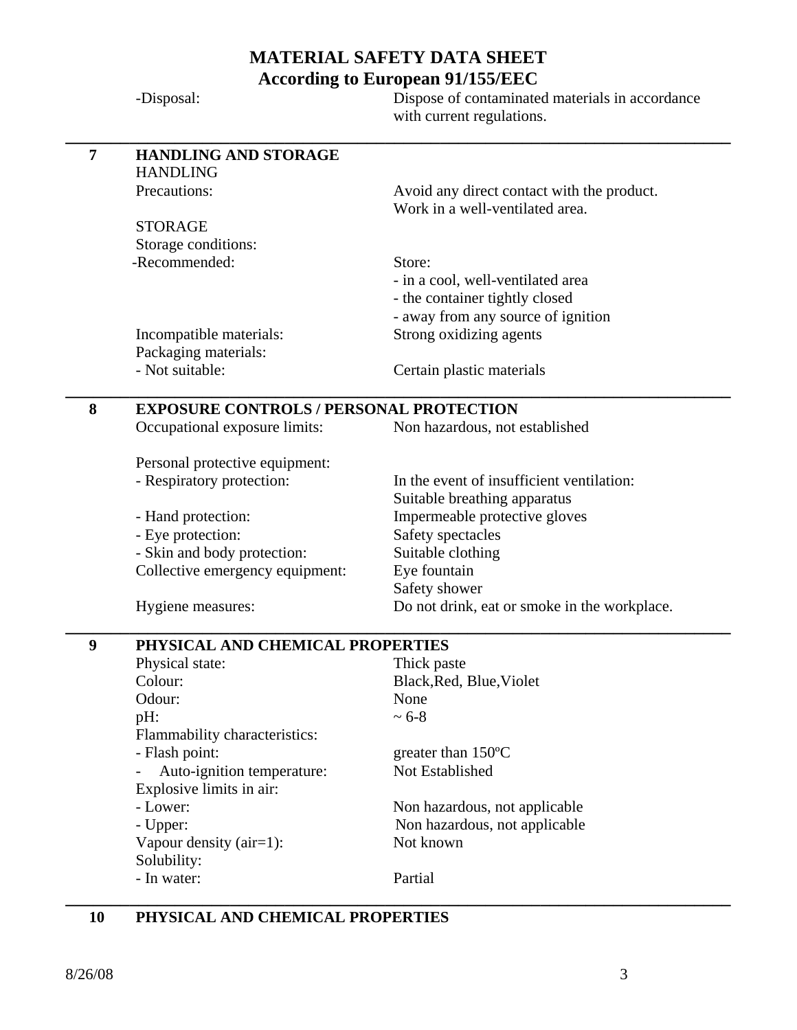## **MATERIAL SAFETY DATA SHEET According to European 91/155/EEC**

|                | -Disposal:                                     | Dispose of contaminated materials in accordance<br>with current regulations. |  |  |
|----------------|------------------------------------------------|------------------------------------------------------------------------------|--|--|
| $\overline{7}$ | <b>HANDLING AND STORAGE</b>                    |                                                                              |  |  |
|                | <b>HANDLING</b>                                |                                                                              |  |  |
|                | Precautions:                                   | Avoid any direct contact with the product.                                   |  |  |
|                |                                                | Work in a well-ventilated area.                                              |  |  |
|                | <b>STORAGE</b>                                 |                                                                              |  |  |
|                | Storage conditions:<br>-Recommended:           |                                                                              |  |  |
|                |                                                | Store:<br>- in a cool, well-ventilated area                                  |  |  |
|                |                                                | - the container tightly closed                                               |  |  |
|                |                                                | - away from any source of ignition                                           |  |  |
|                | Incompatible materials:                        | Strong oxidizing agents                                                      |  |  |
|                | Packaging materials:                           |                                                                              |  |  |
|                | - Not suitable:                                | Certain plastic materials                                                    |  |  |
| 8              | <b>EXPOSURE CONTROLS / PERSONAL PROTECTION</b> |                                                                              |  |  |
|                | Occupational exposure limits:                  | Non hazardous, not established                                               |  |  |
|                | Personal protective equipment:                 |                                                                              |  |  |
|                | - Respiratory protection:                      | In the event of insufficient ventilation:                                    |  |  |
|                |                                                | Suitable breathing apparatus                                                 |  |  |
|                | - Hand protection:                             | Impermeable protective gloves                                                |  |  |
|                | - Eye protection:                              | Safety spectacles                                                            |  |  |
|                | - Skin and body protection:                    | Suitable clothing                                                            |  |  |
|                | Collective emergency equipment:                | Eye fountain                                                                 |  |  |
|                |                                                | Safety shower                                                                |  |  |
|                | Hygiene measures:                              | Do not drink, eat or smoke in the workplace.                                 |  |  |
| 9              | PHYSICAL AND CHEMICAL PROPERTIES               |                                                                              |  |  |
|                | Physical state:                                | Thick paste                                                                  |  |  |
|                | Colour:                                        | Black, Red, Blue, Violet                                                     |  |  |
|                | Odour:                                         | None                                                                         |  |  |
|                | pH:                                            | $~1$ 6-8                                                                     |  |  |
|                | Flammability characteristics:                  |                                                                              |  |  |
|                | - Flash point:<br>Auto-ignition temperature:   | greater than $150^{\circ}$ C<br>Not Established                              |  |  |
|                | Explosive limits in air:                       |                                                                              |  |  |
|                | - Lower:                                       | Non hazardous, not applicable                                                |  |  |
|                | - Upper:                                       | Non hazardous, not applicable                                                |  |  |
|                | Vapour density $(air=1)$ :                     | Not known                                                                    |  |  |
|                | Solubility:                                    |                                                                              |  |  |
|                | - In water:                                    | Partial                                                                      |  |  |

### **10 PHYSICAL AND CHEMICAL PROPERTIES**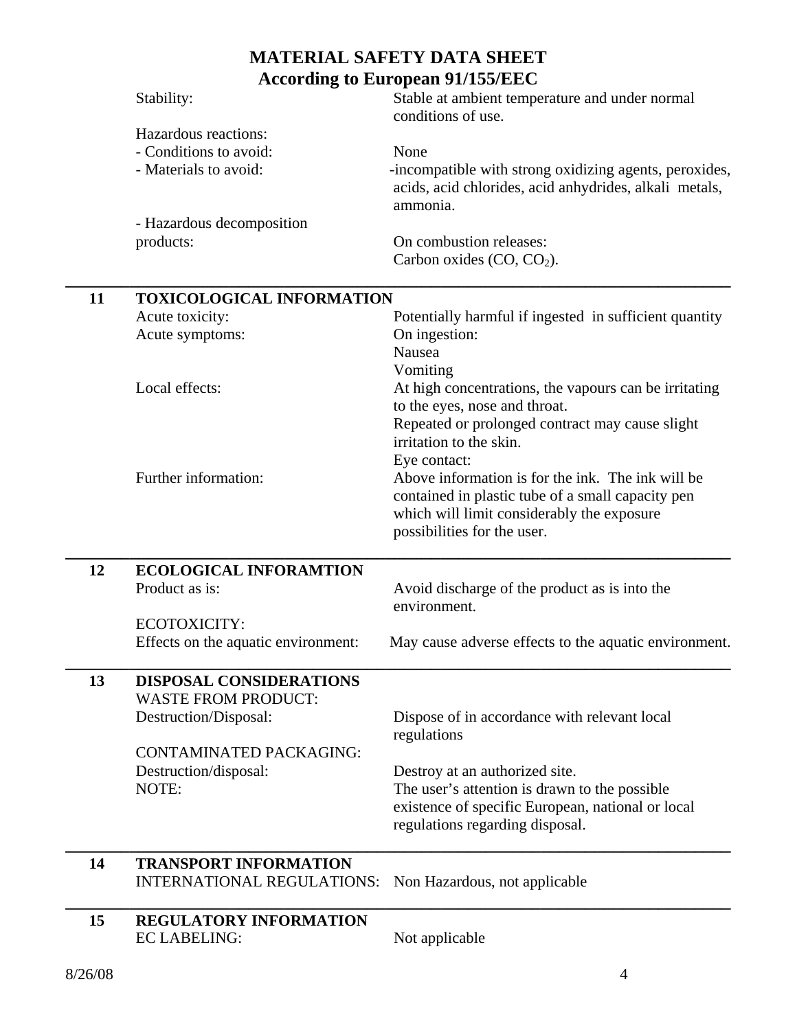### **MATERIAL SAFETY DATA SHEET According to European 91/155/EEC**  Stability: Stable at ambient temperature and under normal conditions of use. Hazardous reactions: - Conditions to avoid: None - Materials to avoid:  $\blacksquare$  -incompatible with strong oxidizing agents, peroxides, acids, acid chlorides, acid anhydrides, alkali metals, ammonia. - Hazardous decomposition products: On combustion releases: Carbon oxides  $(CO, CO<sub>2</sub>)$ . **\_\_\_\_\_\_\_\_\_\_\_\_\_\_\_\_\_\_\_\_\_\_\_\_\_\_\_\_\_\_\_\_\_\_\_\_\_\_\_\_\_\_\_\_\_\_\_\_\_\_\_\_\_\_\_\_\_\_\_\_\_\_\_\_\_\_\_\_\_\_\_\_\_ 11 TOXICOLOGICAL INFORMATION**  Acute toxicity: Potentially harmful if ingested in sufficient quantity Acute symptoms: On ingestion: Nausea Vomiting Local effects: At high concentrations, the vapours can be irritating to the eyes, nose and throat. Repeated or prolonged contract may cause slight irritation to the skin. Eye contact: Further information: Above information is for the ink. The ink will be contained in plastic tube of a small capacity pen which will limit considerably the exposure possibilities for the user. **\_\_\_\_\_\_\_\_\_\_\_\_\_\_\_\_\_\_\_\_\_\_\_\_\_\_\_\_\_\_\_\_\_\_\_\_\_\_\_\_\_\_\_\_\_\_\_\_\_\_\_\_\_\_\_\_\_\_\_\_\_\_\_\_\_\_\_\_\_\_\_\_\_ 12 ECOLOGICAL INFORAMTION**  Product as is: Avoid discharge of the product as is into the environment. ECOTOXICITY: Effects on the aquatic environment: May cause adverse effects to the aquatic environment. **\_\_\_\_\_\_\_\_\_\_\_\_\_\_\_\_\_\_\_\_\_\_\_\_\_\_\_\_\_\_\_\_\_\_\_\_\_\_\_\_\_\_\_\_\_\_\_\_\_\_\_\_\_\_\_\_\_\_\_\_\_\_\_\_\_\_\_\_\_\_\_\_\_ 13 DISPOSAL CONSIDERATIONS**  WASTE FROM PRODUCT: Destruction/Disposal: Dispose of in accordance with relevant local regulations CONTAMINATED PACKAGING: Destruction/disposal: Destroy at an authorized site. NOTE: The user's attention is drawn to the possible existence of specific European, national or local regulations regarding disposal. **\_\_\_\_\_\_\_\_\_\_\_\_\_\_\_\_\_\_\_\_\_\_\_\_\_\_\_\_\_\_\_\_\_\_\_\_\_\_\_\_\_\_\_\_\_\_\_\_\_\_\_\_\_\_\_\_\_\_\_\_\_\_\_\_\_\_\_\_\_\_\_\_\_ 14 TRANSPORT INFORMATION**  INTERNATIONAL REGULATIONS: Non Hazardous, not applicable **\_\_\_\_\_\_\_\_\_\_\_\_\_\_\_\_\_\_\_\_\_\_\_\_\_\_\_\_\_\_\_\_\_\_\_\_\_\_\_\_\_\_\_\_\_\_\_\_\_\_\_\_\_\_\_\_\_\_\_\_\_\_\_\_\_\_\_\_\_\_\_\_\_ 15 REGULATORY INFORMATION**  EC LABELING: Not applicable